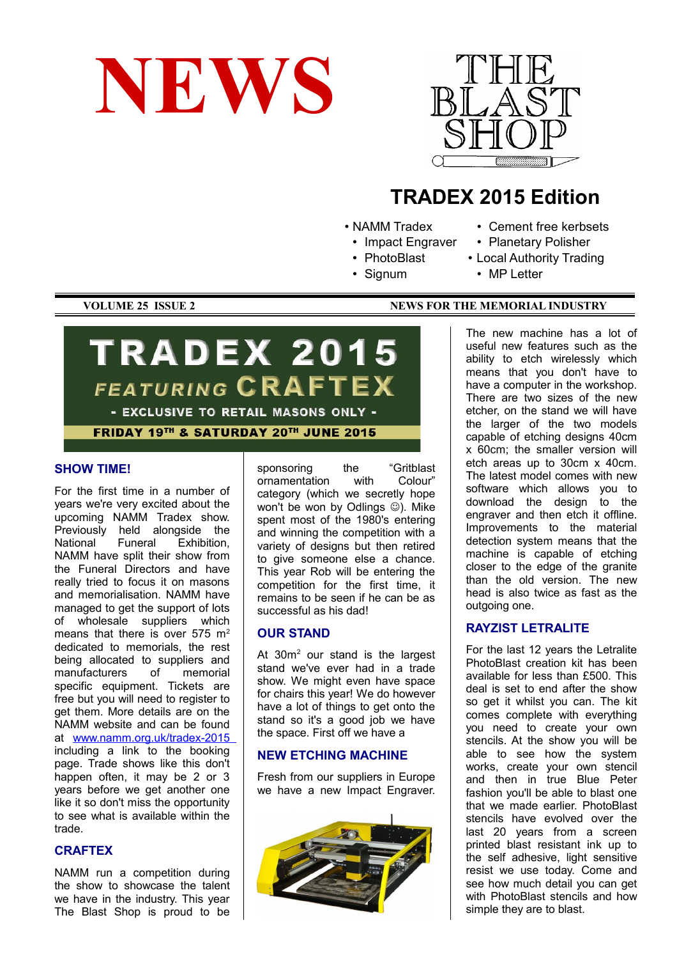



# **TRADEX 2015 Edition**

- NAMM Tradex
	- Impact Engraver
	- PhotoBlast
	- Signum
- Cement free kerbsets
- Planetary Polisher
- Local Authority Trading
- MP Letter

# **TRADEX 2015 FEATURING CRAFTEX** - EXCLUSIVE TO RETAIL MASONS ONLY -FRIDAY 19TH & SATURDAY 20TH JUNE 2015

### **SHOW TIME!**

For the first time in a number of years we're very excited about the upcoming NAMM Tradex show. Previously held alongside the National Funeral Exhibition, NAMM have split their show from the Funeral Directors and have really tried to focus it on masons and memorialisation. NAMM have managed to get the support of lots of wholesale suppliers which means that there is over  $575 \text{ m}^2$ dedicated to memorials, the rest being allocated to suppliers and manufacturers of memorial specific equipment. Tickets are free but you will need to register to get them. More details are on the NAMM website and can be found at [www.namm.org.uk/tradex-2015](http://www.namm.org.uk/tradex-2015) including a link to the booking page. Trade shows like this don't happen often, it may be 2 or 3 years before we get another one like it so don't miss the opportunity to see what is available within the trade.

## **CRAFTEX**

NAMM run a competition during the show to showcase the talent we have in the industry. This year The Blast Shop is proud to be

sponsoring the "Gritblast<br>ornamentation with Colour" ornamentation category (which we secretly hope won't be won by Odlings  $\circledcirc$ ). Mike spent most of the 1980's entering and winning the competition with a variety of designs but then retired to give someone else a chance. This year Rob will be entering the competition for the first time, it remains to be seen if he can be as successful as his dad!

# **OUR STAND**

At  $30m^2$  our stand is the largest stand we've ever had in a trade show. We might even have space for chairs this year! We do however have a lot of things to get onto the stand so it's a good job we have the space. First off we have a

# **NEW ETCHING MACHINE**

Fresh from our suppliers in Europe we have a new Impact Engraver.



The new machine has a lot of useful new features such as the ability to etch wirelessly which means that you don't have to have a computer in the workshop. There are two sizes of the new etcher, on the stand we will have the larger of the two models capable of etching designs 40cm x 60cm; the smaller version will etch areas up to 30cm x 40cm. The latest model comes with new software which allows you to download the design to the engraver and then etch it offline. Improvements to the material detection system means that the machine is capable of etching closer to the edge of the granite than the old version. The new head is also twice as fast as the outgoing one.

## **RAYZIST LETRALITE**

For the last 12 years the Letralite PhotoBlast creation kit has been available for less than £500. This deal is set to end after the show so get it whilst you can. The kit comes complete with everything you need to create your own stencils. At the show you will be able to see how the system works, create your own stencil and then in true Blue Peter fashion you'll be able to blast one that we made earlier. PhotoBlast stencils have evolved over the last 20 years from a screen printed blast resistant ink up to the self adhesive, light sensitive resist we use today. Come and see how much detail you can get with PhotoBlast stencils and how simple they are to blast.

# **VOLUME 25 ISSUE 2** NEWS FOR THE MEMORIAL INDUSTRY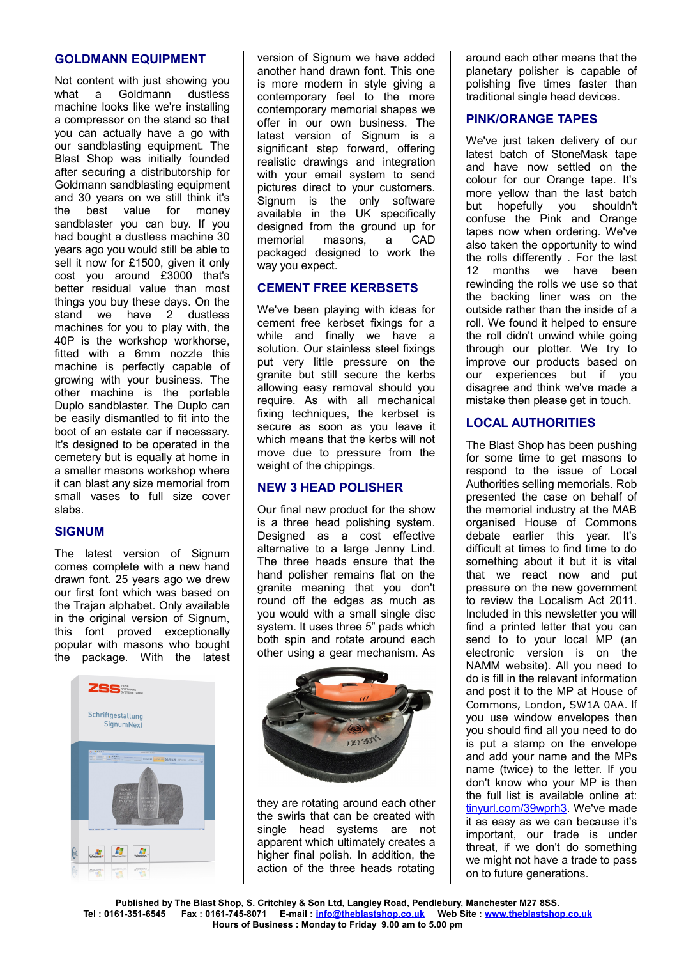# **GOLDMANN EQUIPMENT**

Not content with just showing you what a Goldmann dustless machine looks like we're installing a compressor on the stand so that you can actually have a go with our sandblasting equipment. The Blast Shop was initially founded after securing a distributorship for Goldmann sandblasting equipment and 30 years on we still think it's the best value for money sandblaster you can buy. If you had bought a dustless machine 30 years ago you would still be able to sell it now for £1500, given it only cost you around £3000 that's better residual value than most things you buy these days. On the stand we have 2 dustless machines for you to play with, the 40P is the workshop workhorse, fitted with a 6mm nozzle this machine is perfectly capable of growing with your business. The other machine is the portable Duplo sandblaster. The Duplo can be easily dismantled to fit into the boot of an estate car if necessary. It's designed to be operated in the cemetery but is equally at home in a smaller masons workshop where it can blast any size memorial from small vases to full size cover slabs.

# **SIGNUM**

The latest version of Signum comes complete with a new hand drawn font. 25 years ago we drew our first font which was based on the Trajan alphabet. Only available in the original version of Signum, this font proved exceptionally popular with masons who bought the package. With the latest



version of Signum we have added another hand drawn font. This one is more modern in style giving a contemporary feel to the more contemporary memorial shapes we offer in our own business. The latest version of Signum is a significant step forward, offering realistic drawings and integration with your email system to send pictures direct to your customers. Signum is the only software available in the UK specifically designed from the ground up for memorial masons, a CAD packaged designed to work the way you expect.

# **CEMENT FREE KERBSETS**

We've been playing with ideas for cement free kerbset fixings for a while and finally we have a solution. Our stainless steel fixings put very little pressure on the granite but still secure the kerbs allowing easy removal should you require. As with all mechanical fixing techniques, the kerbset is secure as soon as you leave it which means that the kerbs will not move due to pressure from the weight of the chippings.

# **NEW 3 HEAD POLISHER**

Our final new product for the show is a three head polishing system. Designed as a cost effective alternative to a large Jenny Lind. The three heads ensure that the hand polisher remains flat on the granite meaning that you don't round off the edges as much as you would with a small single disc system. It uses three 5" pads which both spin and rotate around each other using a gear mechanism. As



they are rotating around each other the swirls that can be created with single head systems are not apparent which ultimately creates a higher final polish. In addition, the action of the three heads rotating around each other means that the planetary polisher is capable of polishing five times faster than traditional single head devices.

# **PINK/ORANGE TAPES**

We've just taken delivery of our latest batch of StoneMask tape and have now settled on the colour for our Orange tape. It's more yellow than the last batch but hopefully you shouldn't confuse the Pink and Orange tapes now when ordering. We've also taken the opportunity to wind the rolls differently . For the last 12 months we have been rewinding the rolls we use so that the backing liner was on the outside rather than the inside of a roll. We found it helped to ensure the roll didn't unwind while going through our plotter. We try to improve our products based on our experiences but if you disagree and think we've made a mistake then please get in touch.

# **LOCAL AUTHORITIES**

The Blast Shop has been pushing for some time to get masons to respond to the issue of Local Authorities selling memorials. Rob presented the case on behalf of the memorial industry at the MAB organised House of Commons debate earlier this year. It's difficult at times to find time to do something about it but it is vital that we react now and put pressure on the new government to review the Localism Act 2011. Included in this newsletter you will find a printed letter that you can send to to your local MP (an electronic version is on the NAMM website). All you need to do is fill in the relevant information and post it to the MP at House of Commons, London, SW1A 0AA. If you use window envelopes then you should find all you need to do is put a stamp on the envelope and add your name and the MPs name (twice) to the letter. If you don't know who your MP is then the full list is available online at: [tinyurl.com/39wprh3.](http://tinyurl.com/39wprh3) We've made it as easy as we can because it's important, our trade is under threat, if we don't do something we might not have a trade to pass on to future generations.